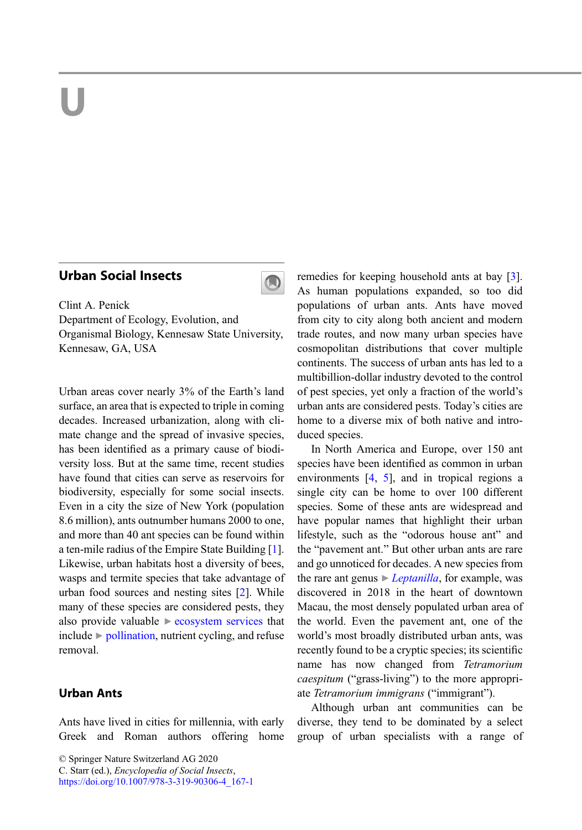# U U

#### **Urban Social Insects** Urban Social Insects



Clint A. Penick Department of Ecology, Evolution, and Organismal Biology, Kennesaw State University, Kennesaw, GA, USA

Urban areas cover nearly 3% of the Earth's land surface, an area that is expected to triple in coming decades. Increased urbanization, along with climate change and the spread of invasive species, has been identified as a primary cause of biodiversity loss. But at the same time, recent studies have found that cities can serve as reservoirs for biodiversity, especially for some social insects. Even in a city the size of New York (population 8.6 million), ants outnumber humans 2000 to one, and more than 40 ant species can be found within a ten-mile radius of the Empire State Building [[1\]](#page-5-0). Likewise, urban habitats host a diversity of bees, wasps and termite species that take advantage of urban food sources and nesting sites [[2\]](#page-5-0). While many of these species are considered pests, they also provide valuable  $\triangleright$  [ecosystem services](http://link.springer.com/search?facet-eisbn=978-3-319-90306-4&facet-content-type=ReferenceWorkEntry&query=ecosystem services) that include  $\triangleright$  [pollination,](http://link.springer.com/search?facet-eisbn=978-3-319-90306-4&facet-content-type=ReferenceWorkEntry&query=pollination) nutrient cycling, and refuse removal.

## **Urban Ants**

Ants have lived in cities for millennia, with early Greek and Roman authors offering home

C. Starr (ed.), Encyclopedia of Social Insects,

[https://doi.org/10.1007/978-3-319-90306-4\\_167-1](https://doi.org/10.1007/978-3-319-90306-4_167-1)

remedies for keeping household ants at bay [[3\]](#page-5-0). As human populations expanded, so too did populations of urban ants. Ants have moved from city to city along both ancient and modern trade routes, and now many urban species have cosmopolitan distributions that cover multiple continents. The success of urban ants has led to a multibillion-dollar industry devoted to the control of pest species, yet only a fraction of the world's urban ants are considered pests. Today's cities are home to a diverse mix of both native and introduced species.

In North America and Europe, over 150 ant species have been identified as common in urban environments [\[4,](#page-5-0) [5](#page-5-0)], and in tropical regions a single city can be home to over 100 different species. Some of these ants are widespread and have popular names that highlight their urban lifestyle, such as the "odorous house ant" and the "pavement ant." But other urban ants are rare and go unnoticed for decades. A new species from the rare ant genus  $\triangleright$  *[Leptanilla](http://link.springer.com/search?facet-eisbn=978-3-319-90306-4&facet-content-type=ReferenceWorkEntry&query=Leptanilla)*, for example, was discovered in 2018 in the heart of downtown Macau, the most densely populated urban area of the world. Even the pavement ant, one of the world's most broadly distributed urban ants, was recently found to be a cryptic species; its scientific name has now changed from Tetramorium caespitum ("grass-living") to the more appropriate Tetramorium immigrans ("immigrant").

Although urban ant communities can be diverse, they tend to be dominated by a select group of urban specialists with a range of

<sup>©</sup> Springer Nature Switzerland AG 2020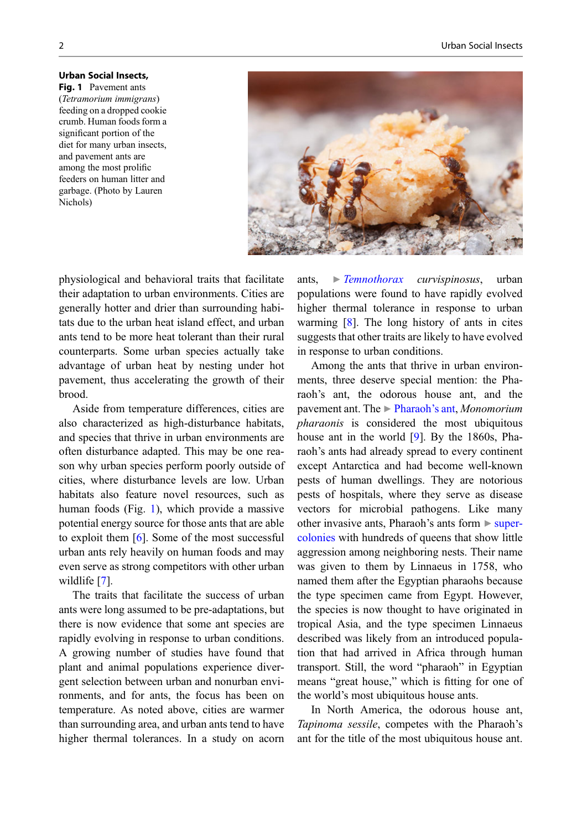Fig. 1 Pavement ants  $(Tetramoriumimimica)$ (Tetramorium immigrans) feeding on a dropped cookie crumb. Human foods form a significant portion of the diet for many urban insects, and pavement ants are among the most prolific feeders on human litter and garbage. (Photo by Lauren Nichols)



physiological and behavioral traits that facilitate their adaptation to urban environments. Cities are generally hotter and drier than surrounding habitats due to the urban heat island effect, and urban ants tend to be more heat tolerant than their rural counterparts. Some urban species actually take advantage of urban heat by nesting under hot pavement, thus accelerating the growth of their brood.

Aside from temperature differences, cities are also characterized as high-disturbance habitats, and species that thrive in urban environments are often disturbance adapted. This may be one reason why urban species perform poorly outside of cities, where disturbance levels are low. Urban habitats also feature novel resources, such as human foods (Fig. 1), which provide a massive potential energy source for those ants that are able to exploit them [\[6](#page-5-0)]. Some of the most successful urban ants rely heavily on human foods and may even serve as strong competitors with other urban wildlife [\[7](#page-5-0)].

The traits that facilitate the success of urban ants were long assumed to be pre-adaptations, but there is now evidence that some ant species are rapidly evolving in response to urban conditions. A growing number of studies have found that plant and animal populations experience divergent selection between urban and nonurban environments, and for ants, the focus has been on temperature. As noted above, cities are warmer than surrounding area, and urban ants tend to have higher thermal tolerances. In a study on acorn ants,  $\triangleright$  [Temnothorax](http://link.springer.com/search?facet-eisbn=978-3-319-90306-4&facet-content-type=ReferenceWorkEntry&query=Temnothorax) curvispinosus, urban populations were found to have rapidly evolved higher thermal tolerance in response to urban warming [[8\]](#page-5-0). The long history of ants in cites suggests that other traits are likely to have evolved in response to urban conditions.

Among the ants that thrive in urban environments, three deserve special mention: the Pharaoh's ant, the odorous house ant, and the pavement ant. The ► [Pharaoh](http://link.springer.com/search?facet-eisbn=978-3-319-90306-4&facet-content-type=ReferenceWorkEntry&query=Pharaoh�s ant)'s ant, Monomorium pharaonis is considered the most ubiquitous house ant in the world [[9\]](#page-5-0). By the 1860s, Pharaoh's ants had already spread to every continent except Antarctica and had become well-known pests of human dwellings. They are notorious pests of hospitals, where they serve as disease vectors for microbial pathogens. Like many other invasive ants, Pharaoh's ants form  $\triangleright$  [super](http://link.springer.com/search?facet-eisbn=978-3-319-90306-4&facet-content-type=ReferenceWorkEntry&query=supercolonies)[colonies](http://link.springer.com/search?facet-eisbn=978-3-319-90306-4&facet-content-type=ReferenceWorkEntry&query=supercolonies) with hundreds of queens that show little aggression among neighboring nests. Their name was given to them by Linnaeus in 1758, who named them after the Egyptian pharaohs because the type specimen came from Egypt. However, the species is now thought to have originated in tropical Asia, and the type specimen Linnaeus described was likely from an introduced population that had arrived in Africa through human transport. Still, the word "pharaoh" in Egyptian means "great house," which is fitting for one of the world's most ubiquitous house ants.

In North America, the odorous house ant, Tapinoma sessile, competes with the Pharaoh's ant for the title of the most ubiquitous house ant.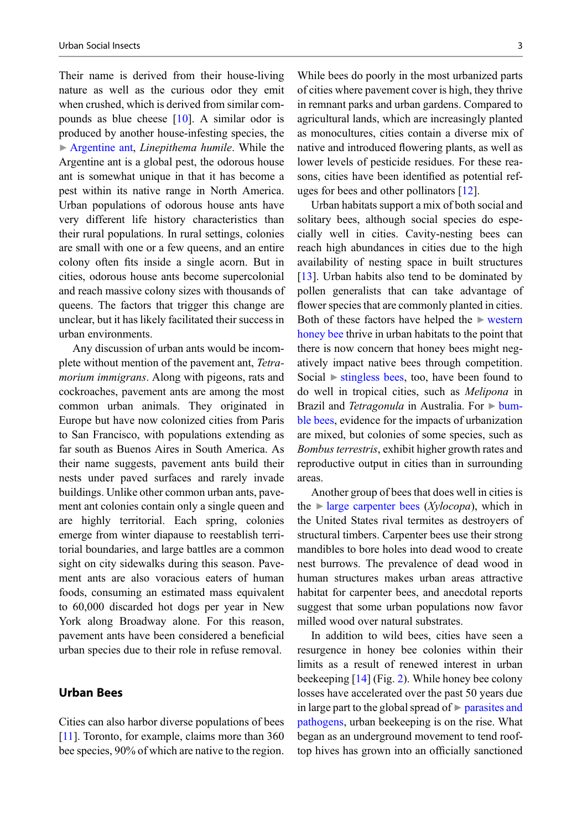Their name is derived from their house-living nature as well as the curious odor they emit when crushed, which is derived from similar compounds as blue cheese [\[10](#page-5-0)]. A similar odor is produced by another house-infesting species, the  $\triangleright$  [Argentine ant](http://link.springer.com/search?facet-eisbn=978-3-319-90306-4&facet-content-type=ReferenceWorkEntry&query=Argentine ant), *Linepithema humile*. While the Argentine ant is a global pest, the odorous house ant is somewhat unique in that it has become a pest within its native range in North America. Urban populations of odorous house ants have very different life history characteristics than their rural populations. In rural settings, colonies are small with one or a few queens, and an entire colony often fits inside a single acorn. But in cities, odorous house ants become supercolonial and reach massive colony sizes with thousands of queens. The factors that trigger this change are unclear, but it has likely facilitated their success in urban environments.

Any discussion of urban ants would be incomplete without mention of the pavement ant, Tetramorium immigrans. Along with pigeons, rats and cockroaches, pavement ants are among the most common urban animals. They originated in Europe but have now colonized cities from Paris to San Francisco, with populations extending as far south as Buenos Aires in South America. As their name suggests, pavement ants build their nests under paved surfaces and rarely invade buildings. Unlike other common urban ants, pavement ant colonies contain only a single queen and are highly territorial. Each spring, colonies emerge from winter diapause to reestablish territorial boundaries, and large battles are a common sight on city sidewalks during this season. Pavement ants are also voracious eaters of human foods, consuming an estimated mass equivalent to 60,000 discarded hot dogs per year in New York along Broadway alone. For this reason, pavement ants have been considered a beneficial urban species due to their role in refuse removal.

### **Urban Bees**

Cities can also harbor diverse populations of bees [\[11\]](#page-5-0). Toronto, for example, claims more than 360 bee species, 90% of which are native to the region.

While bees do poorly in the most urbanized parts of cities where pavement cover is high, they thrive in remnant parks and urban gardens. Compared to agricultural lands, which are increasingly planted as monocultures, cities contain a diverse mix of native and introduced flowering plants, as well as lower levels of pesticide residues. For these reasons, cities have been identified as potential refuges for bees and other pollinators [[12\]](#page-5-0).

Urban habitats support a mix of both social and solitary bees, although social species do especially well in cities. Cavity-nesting bees can reach high abundances in cities due to the high availability of nesting space in built structures [\[13](#page-5-0)]. Urban habits also tend to be dominated by pollen generalists that can take advantage of flower species that are commonly planted in cities. Both of these factors have helped the  $\triangleright$  [western](http://link.springer.com/search?facet-eisbn=978-3-319-90306-4&facet-content-type=ReferenceWorkEntry&query=western honey bee) [honey bee](http://link.springer.com/search?facet-eisbn=978-3-319-90306-4&facet-content-type=ReferenceWorkEntry&query=western honey bee) thrive in urban habitats to the point that there is now concern that honey bees might negatively impact native bees through competition. Social  $\triangleright$  [stingless bees,](http://link.springer.com/search?facet-eisbn=978-3-319-90306-4&facet-content-type=ReferenceWorkEntry&query=stingless bees) too, have been found to do well in tropical cities, such as Melipona in Brazil and Tetragonula in Australia. For  $\triangleright$  [bum](http://link.springer.com/search?facet-eisbn=978-3-319-90306-4&facet-content-type=ReferenceWorkEntry&query=bumble bees)[ble bees,](http://link.springer.com/search?facet-eisbn=978-3-319-90306-4&facet-content-type=ReferenceWorkEntry&query=bumble bees) evidence for the impacts of urbanization are mixed, but colonies of some species, such as Bombus terrestris, exhibit higher growth rates and reproductive output in cities than in surrounding areas.

Another group of bees that does well in cities is the  $\blacktriangleright$  [large carpenter bees](http://link.springer.com/search?facet-eisbn=978-3-319-90306-4&facet-content-type=ReferenceWorkEntry&query=large carpenter bees) (*Xylocopa*), which in the United States rival termites as destroyers of structural timbers. Carpenter bees use their strong mandibles to bore holes into dead wood to create nest burrows. The prevalence of dead wood in human structures makes urban areas attractive habitat for carpenter bees, and anecdotal reports suggest that some urban populations now favor milled wood over natural substrates.

In addition to wild bees, cities have seen a resurgence in honey bee colonies within their limits as a result of renewed interest in urban beekeeping [\[14](#page-5-0)] (Fig. [2\)](#page-3-0). While honey bee colony losses have accelerated over the past 50 years due in large part to the global spread of  $\triangleright$  [parasites and](http://link.springer.com/search?facet-eisbn=978-3-319-90306-4&facet-content-type=ReferenceWorkEntry&query=parasites and pathogens) [pathogens](http://link.springer.com/search?facet-eisbn=978-3-319-90306-4&facet-content-type=ReferenceWorkEntry&query=parasites and pathogens), urban beekeeping is on the rise. What began as an underground movement to tend rooftop hives has grown into an officially sanctioned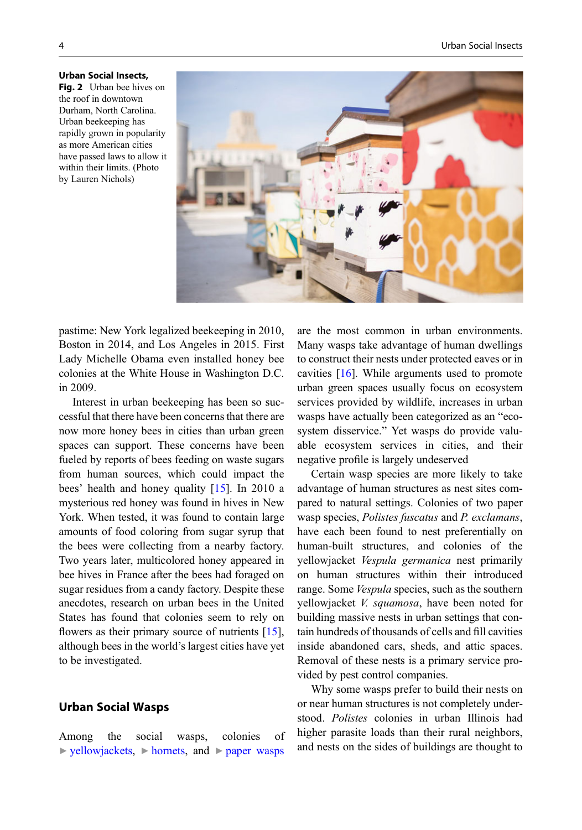

<span id="page-3-0"></span>**Urban Social Insects.** Fig. 2 Urban bee hives on the roof in downtown the roof in downtown Durham, North Carolina. Urban beekeeping has rapidly grown in popularity as more American cities have passed laws to allow it within their limits. (Photo by Lauren Nichols)

pastime: New York legalized beekeeping in 2010, Boston in 2014, and Los Angeles in 2015. First Lady Michelle Obama even installed honey bee colonies at the White House in Washington D.C. in 2009.

Interest in urban beekeeping has been so successful that there have been concerns that there are now more honey bees in cities than urban green spaces can support. These concerns have been fueled by reports of bees feeding on waste sugars from human sources, which could impact the bees' health and honey quality [[15\]](#page-5-0). In 2010 a mysterious red honey was found in hives in New York. When tested, it was found to contain large amounts of food coloring from sugar syrup that the bees were collecting from a nearby factory. Two years later, multicolored honey appeared in bee hives in France after the bees had foraged on sugar residues from a candy factory. Despite these anecdotes, research on urban bees in the United States has found that colonies seem to rely on flowers as their primary source of nutrients  $[15]$  $[15]$ , although bees in the world's largest cities have yet to be investigated.

## Urban Social Wasps

Among the social wasps, colonies of ▶ [yellowjackets,](http://link.springer.com/search?facet-eisbn=978-3-319-90306-4&facet-content-type=ReferenceWorkEntry&query=yellowjackets) ▶ [hornets,](http://link.springer.com/search?facet-eisbn=978-3-319-90306-4&facet-content-type=ReferenceWorkEntry&query=hornets) and ▶ [paper wasps](http://link.springer.com/search?facet-eisbn=978-3-319-90306-4&facet-content-type=ReferenceWorkEntry&query=paper wasps) are the most common in urban environments. Many wasps take advantage of human dwellings to construct their nests under protected eaves or in cavities [[16\]](#page-5-0). While arguments used to promote urban green spaces usually focus on ecosystem services provided by wildlife, increases in urban wasps have actually been categorized as an "ecosystem disservice." Yet wasps do provide valuable ecosystem services in cities, and their negative profile is largely undeserved

Certain wasp species are more likely to take advantage of human structures as nest sites compared to natural settings. Colonies of two paper wasp species, Polistes fuscatus and P. exclamans, have each been found to nest preferentially on human-built structures, and colonies of the yellowjacket Vespula germanica nest primarily on human structures within their introduced range. Some *Vespula* species, such as the southern yellowjacket V. squamosa, have been noted for building massive nests in urban settings that contain hundreds of thousands of cells and fill cavities inside abandoned cars, sheds, and attic spaces. Removal of these nests is a primary service provided by pest control companies.

Why some wasps prefer to build their nests on or near human structures is not completely understood. Polistes colonies in urban Illinois had higher parasite loads than their rural neighbors, and nests on the sides of buildings are thought to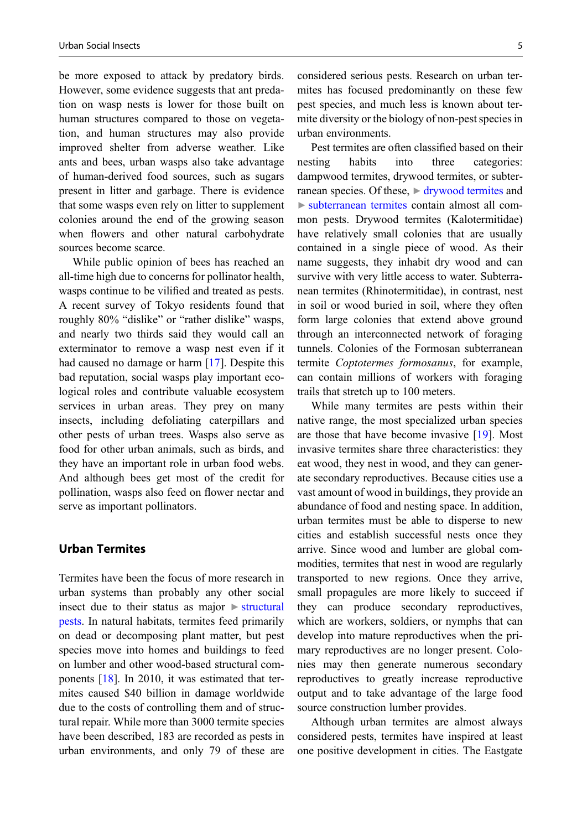be more exposed to attack by predatory birds. However, some evidence suggests that ant predation on wasp nests is lower for those built on human structures compared to those on vegetation, and human structures may also provide improved shelter from adverse weather. Like ants and bees, urban wasps also take advantage of human-derived food sources, such as sugars present in litter and garbage. There is evidence that some wasps even rely on litter to supplement colonies around the end of the growing season when flowers and other natural carbohydrate sources become scarce.

While public opinion of bees has reached an all-time high due to concerns for pollinator health, wasps continue to be vilified and treated as pests. A recent survey of Tokyo residents found that roughly 80% "dislike" or "rather dislike" wasps, and nearly two thirds said they would call an exterminator to remove a wasp nest even if it had caused no damage or harm [\[17](#page-5-0)]. Despite this bad reputation, social wasps play important ecological roles and contribute valuable ecosystem services in urban areas. They prey on many insects, including defoliating caterpillars and other pests of urban trees. Wasps also serve as food for other urban animals, such as birds, and they have an important role in urban food webs. And although bees get most of the credit for pollination, wasps also feed on flower nectar and serve as important pollinators.

Termites have been the focus of more research in urban systems than probably any other social insect due to their status as major ▶ [structural](http://link.springer.com/search?facet-eisbn=978-3-319-90306-4&facet-content-type=ReferenceWorkEntry&query=structural pests) [pests.](http://link.springer.com/search?facet-eisbn=978-3-319-90306-4&facet-content-type=ReferenceWorkEntry&query=structural pests) In natural habitats, termites feed primarily on dead or decomposing plant matter, but pest species move into homes and buildings to feed on lumber and other wood-based structural components [[18\]](#page-5-0). In 2010, it was estimated that termites caused \$40 billion in damage worldwide due to the costs of controlling them and of structural repair. While more than 3000 termite species have been described, 183 are recorded as pests in urban environments, and only 79 of these are considered serious pests. Research on urban termites has focused predominantly on these few pest species, and much less is known about termite diversity or the biology of non-pest species in urban environments.

Pest termites are often classified based on their nesting habits into three categories: dampwood termites, drywood termites, or subterranean species. Of these,  $\triangleright$  [drywood termites](http://link.springer.com/search?facet-eisbn=978-3-319-90306-4&facet-content-type=ReferenceWorkEntry&query=drywood termites) and ▶ [subterranean termites](http://link.springer.com/search?facet-eisbn=978-3-319-90306-4&facet-content-type=ReferenceWorkEntry&query=subterranean termites) contain almost all common pests. Drywood termites (Kalotermitidae) have relatively small colonies that are usually contained in a single piece of wood. As their name suggests, they inhabit dry wood and can survive with very little access to water. Subterranean termites (Rhinotermitidae), in contrast, nest in soil or wood buried in soil, where they often form large colonies that extend above ground through an interconnected network of foraging tunnels. Colonies of the Formosan subterranean termite Coptotermes formosanus, for example, can contain millions of workers with foraging trails that stretch up to 100 meters.

While many termites are pests within their native range, the most specialized urban species are those that have become invasive [[19\]](#page-5-0). Most invasive termites share three characteristics: they eat wood, they nest in wood, and they can generate secondary reproductives. Because cities use a vast amount of wood in buildings, they provide an abundance of food and nesting space. In addition, urban termites must be able to disperse to new cities and establish successful nests once they arrive. Since wood and lumber are global commodities, termites that nest in wood are regularly transported to new regions. Once they arrive, small propagules are more likely to succeed if they can produce secondary reproductives, which are workers, soldiers, or nymphs that can develop into mature reproductives when the primary reproductives are no longer present. Colonies may then generate numerous secondary reproductives to greatly increase reproductive output and to take advantage of the large food source construction lumber provides.

Although urban termites are almost always considered pests, termites have inspired at least one positive development in cities. The Eastgate